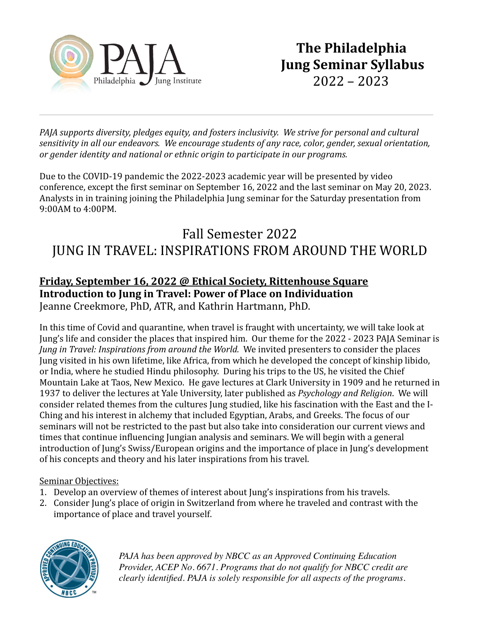

*PAJA* supports diversity, pledges equity, and fosters inclusivity. We strive for personal and cultural *sensitivity* in all our endeavors. We encourage students of any race, color, gender, sexual orientation, *or gender identity and national or ethnic origin to participate in our programs.* 

Due to the COVID-19 pandemic the 2022-2023 academic year will be presented by video conference, except the first seminar on September 16, 2022 and the last seminar on May 20, 2023. Analysts in in training joining the Philadelphia Jung seminar for the Saturday presentation from 9:00AM to 4:00PM.

# Fall Semester 2022 JUNG IN TRAVEL: INSPIRATIONS FROM AROUND THE WORLD

## **Friday, September 16, 2022 @ Ethical Society, Rittenhouse Square Introduction to Jung in Travel: Power of Place on Individuation** Jeanne Creekmore, PhD, ATR, and Kathrin Hartmann, PhD.

In this time of Covid and quarantine, when travel is fraught with uncertainty, we will take look at Jung's life and consider the places that inspired him. Our theme for the 2022 - 2023 PAJA Seminar is *Jung* in Travel: Inspirations from around the World. We invited presenters to consider the places Jung visited in his own lifetime, like Africa, from which he developed the concept of kinship libido, or India, where he studied Hindu philosophy. During his trips to the US, he visited the Chief Mountain Lake at Taos, New Mexico. He gave lectures at Clark University in 1909 and he returned in 1937 to deliver the lectures at Yale University, later published as *Psychology and Religion*. We will consider related themes from the cultures Jung studied, like his fascination with the East and the I-Ching and his interest in alchemy that included Egyptian, Arabs, and Greeks. The focus of our seminars will not be restricted to the past but also take into consideration our current views and times that continue influencing Jungian analysis and seminars. We will begin with a general introduction of Jung's Swiss/European origins and the importance of place in Jung's development of his concepts and theory and his later inspirations from his travel.

## Seminar Objectives:

- 1. Develop an overview of themes of interest about Jung's inspirations from his travels.
- 2. Consider Jung's place of origin in Switzerland from where he traveled and contrast with the importance of place and travel yourself.



*PAJA has been approved by NBCC as an Approved Continuing Education Provider, ACEP No. 6671. Programs that do not qualify for NBCC credit are clearly identified. PAJA is solely responsible for all aspects of the programs.*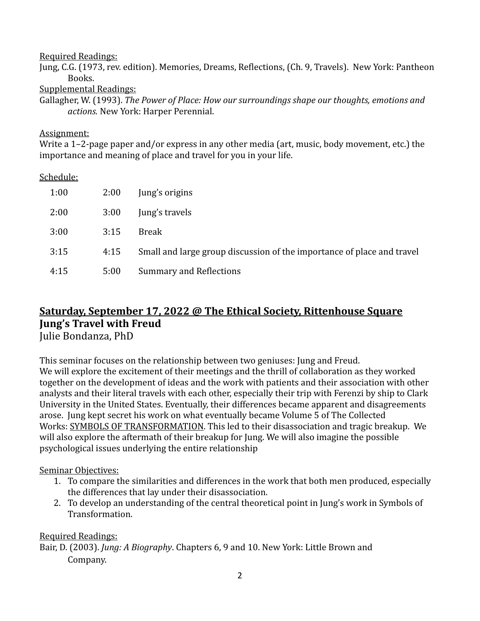#### Required Readings:

Jung, C.G. (1973, rev. edition). Memories, Dreams, Reflections, (Ch. 9, Travels). New York: Pantheon Books. 

Supplemental Readings:

Gallagher, W. (1993). *The Power of Place: How our surroundings shape our thoughts, emotions and actions.* New York: Harper Perennial.

## Assignment:

Write a 1–2-page paper and/or express in any other media (art, music, body movement, etc.) the importance and meaning of place and travel for you in your life.

## Schedule:

| 1:00 | 2:00 | Jung's origins                                                         |
|------|------|------------------------------------------------------------------------|
| 2:00 | 3:00 | Jung's travels                                                         |
| 3:00 | 3:15 | <b>Break</b>                                                           |
| 3:15 | 4:15 | Small and large group discussion of the importance of place and travel |
| 4:15 | 5:00 | <b>Summary and Reflections</b>                                         |

# **Saturday, September 17, 2022 @ The Ethical Society, Rittenhouse Square Jung's Travel with Freud**

Julie Bondanza, PhD

This seminar focuses on the relationship between two geniuses: Jung and Freud. We will explore the excitement of their meetings and the thrill of collaboration as they worked together on the development of ideas and the work with patients and their association with other analysts and their literal travels with each other, especially their trip with Ferenzi by ship to Clark University in the United States. Eventually, their differences became apparent and disagreements arose. Jung kept secret his work on what eventually became Volume 5 of The Collected Works: SYMBOLS OF TRANSFORMATION. This led to their disassociation and tragic breakup. We will also explore the aftermath of their breakup for Jung. We will also imagine the possible psychological issues underlying the entire relationship

## Seminar Objectives:

- 1. To compare the similarities and differences in the work that both men produced, especially the differences that lay under their disassociation.
- 2. To develop an understanding of the central theoretical point in Jung's work in Symbols of Transformation.

Required Readings: Bair, D. (2003). *Jung: A Biography*. Chapters 6, 9 and 10. New York: Little Brown and Company.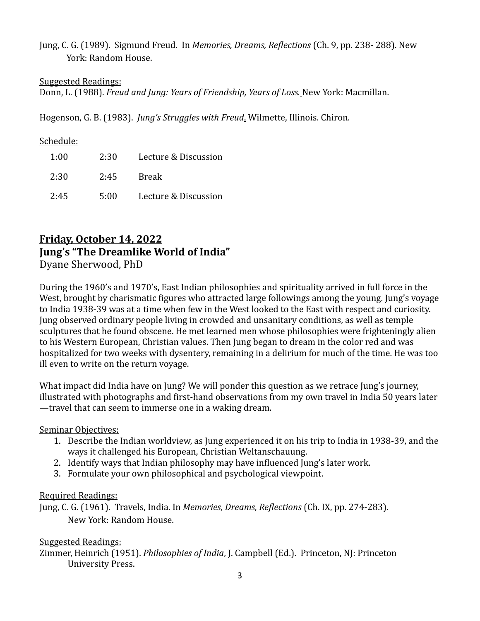Jung, C. G. (1989). Sigmund Freud. In *Memories, Dreams, Reflections* (Ch. 9, pp. 238- 288). New York: Random House.

## Suggested Readings:

Donn, L. (1988). *Freud and Jung: Years of Friendship, Years of Loss*. New York: Macmillan.

Hogenson, G. B. (1983). *Jung's Struggles with Freud*. Wilmette, Illinois. Chiron.

## Schedule:

| 1:00 | 2:30 | Lecture & Discussion |
|------|------|----------------------|
| 2:30 | 2:45 | Break                |
| 2:45 | 5:00 | Lecture & Discussion |

## **Friday, October 14, 2022 Jung's "The Dreamlike World of India"** Dyane Sherwood, PhD

During the 1960's and 1970's, East Indian philosophies and spirituality arrived in full force in the West, brought by charismatic figures who attracted large followings among the young. Jung's voyage to India 1938-39 was at a time when few in the West looked to the East with respect and curiosity. Jung observed ordinary people living in crowded and unsanitary conditions, as well as temple sculptures that he found obscene. He met learned men whose philosophies were frighteningly alien to his Western European, Christian values. Then Jung began to dream in the color red and was hospitalized for two weeks with dysentery, remaining in a delirium for much of the time. He was too ill even to write on the return voyage.

What impact did India have on Jung? We will ponder this question as we retrace Jung's journey, illustrated with photographs and first-hand observations from my own travel in India 50 years later —travel that can seem to immerse one in a waking dream.

## Seminar Objectives:

- 1. Describe the Indian worldview, as Jung experienced it on his trip to India in 1938-39, and the ways it challenged his European, Christian Weltanschauung.
- 2. Identify ways that Indian philosophy may have influenced Jung's later work.
- 3. Formulate your own philosophical and psychological viewpoint.

## Required Readings:

Jung, C. G. (1961). Travels, India. In *Memories, Dreams, Reflections* (Ch. IX, pp. 274-283). New York: Random House.

## Suggested Readings:

Zimmer, Heinrich (1951). *Philosophies of India*, J. Campbell (Ed.). Princeton, NJ: Princeton University Press.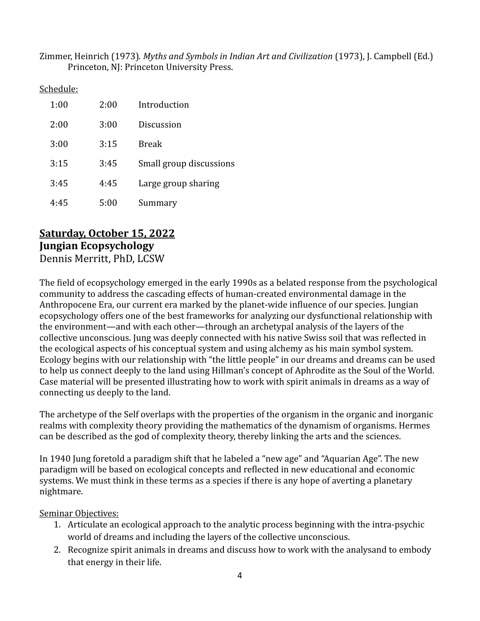Zimmer, Heinrich (1973). Myths and Symbols in Indian Art and Civilization (1973), J. Campbell (Ed.) Princeton, NJ: Princeton University Press.

Schedule:

| 1:00 | 2:00 | Introduction            |
|------|------|-------------------------|
| 2:00 | 3:00 | Discussion              |
| 3:00 | 3:15 | Break                   |
| 3:15 | 3:45 | Small group discussions |
| 3:45 | 4:45 | Large group sharing     |
| 4.45 | 5:00 | Summary                 |

# Saturday, October 15, 2022 **Jungian Ecopsychology**

Dennis Merritt, PhD, LCSW

The field of ecopsychology emerged in the early 1990s as a belated response from the psychological community to address the cascading effects of human-created environmental damage in the Anthropocene Era, our current era marked by the planet-wide influence of our species. Jungian ecopsychology offers one of the best frameworks for analyzing our dysfunctional relationship with the environment—and with each other—through an archetypal analysis of the layers of the collective unconscious. Jung was deeply connected with his native Swiss soil that was reflected in the ecological aspects of his conceptual system and using alchemy as his main symbol system. Ecology begins with our relationship with "the little people" in our dreams and dreams can be used to help us connect deeply to the land using Hillman's concept of Aphrodite as the Soul of the World. Case material will be presented illustrating how to work with spirit animals in dreams as a way of connecting us deeply to the land.

The archetype of the Self overlaps with the properties of the organism in the organic and inorganic realms with complexity theory providing the mathematics of the dynamism of organisms. Hermes can be described as the god of complexity theory, thereby linking the arts and the sciences.

In 1940 Jung foretold a paradigm shift that he labeled a "new age" and "Aquarian Age". The new paradigm will be based on ecological concepts and reflected in new educational and economic systems. We must think in these terms as a species if there is any hope of averting a planetary nightmare. 

- 1. Articulate an ecological approach to the analytic process beginning with the intra-psychic world of dreams and including the layers of the collective unconscious.
- 2. Recognize spirit animals in dreams and discuss how to work with the analysand to embody that energy in their life.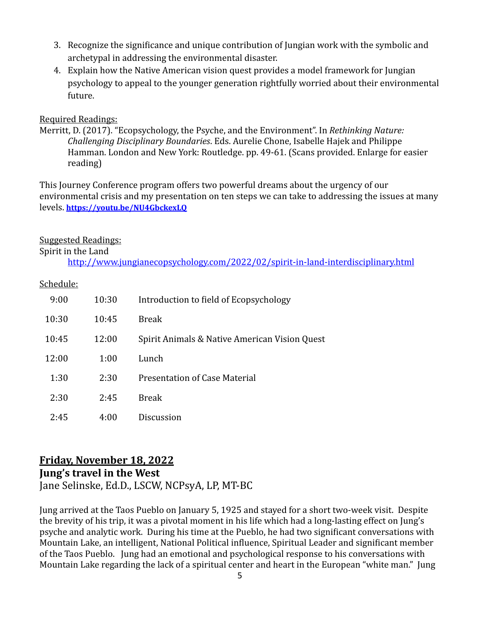- 3. Recognize the significance and unique contribution of Jungian work with the symbolic and archetypal in addressing the environmental disaster.
- 4. Explain how the Native American vision quest provides a model framework for Jungian psychology to appeal to the younger generation rightfully worried about their environmental future.

## Required Readings:

Merritt, D. (2017). "Ecopsychology, the Psyche, and the Environment". In *Rethinking Nature: Challenging Disciplinary Boundaries.* Eds. Aurelie Chone, Isabelle Hajek and Philippe Hamman. London and New York: Routledge. pp. 49-61. (Scans provided. Enlarge for easier reading)

This Journey Conference program offers two powerful dreams about the urgency of our environmental crisis and my presentation on ten steps we can take to addressing the issues at many levels. **<https://youtu.be/NU4GbckexLQ>**

## Suggested Readings:

Spirit in the Land

<http://www.jungianecopsychology.com/2022/02/spirit-in-land-interdisciplinary.html>

## Schedule:

| 9:00  | 10:30 | Introduction to field of Ecopsychology        |
|-------|-------|-----------------------------------------------|
| 10:30 | 10:45 | <b>Break</b>                                  |
| 10:45 | 12:00 | Spirit Animals & Native American Vision Quest |
| 12:00 | 1:00  | Lunch                                         |
| 1:30  | 2:30  | Presentation of Case Material                 |
| 2:30  | 2:45  | <b>Break</b>                                  |
| 2:45  | 4:00  | Discussion                                    |

## Friday, November 18, 2022 **Jung's travel in the West** Jane Selinske, Ed.D., LSCW, NCPsyA, LP, MT-BC

Jung arrived at the Taos Pueblo on January 5, 1925 and stayed for a short two-week visit. Despite the brevity of his trip, it was a pivotal moment in his life which had a long-lasting effect on Jung's psyche and analytic work. During his time at the Pueblo, he had two significant conversations with Mountain Lake, an intelligent, National Political influence, Spiritual Leader and significant member of the Taos Pueblo. Jung had an emotional and psychological response to his conversations with Mountain Lake regarding the lack of a spiritual center and heart in the European "white man." Jung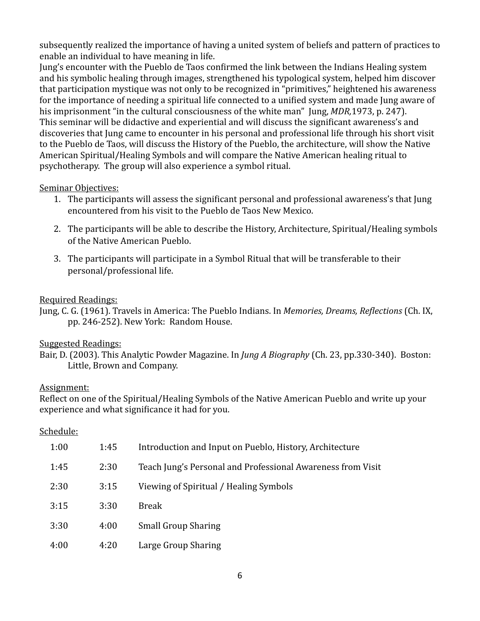subsequently realized the importance of having a united system of beliefs and pattern of practices to enable an individual to have meaning in life.

Jung's encounter with the Pueblo de Taos confirmed the link between the Indians Healing system and his symbolic healing through images, strengthened his typological system, helped him discover that participation mystique was not only to be recognized in "primitives," heightened his awareness for the importance of needing a spiritual life connected to a unified system and made Jung aware of his imprisonment "in the cultural consciousness of the white man" Jung, *MDR*,1973, p. 247). This seminar will be didactive and experiential and will discuss the significant awareness's and discoveries that Jung came to encounter in his personal and professional life through his short visit to the Pueblo de Taos, will discuss the History of the Pueblo, the architecture, will show the Native American Spiritual/Healing Symbols and will compare the Native American healing ritual to psychotherapy. The group will also experience a symbol ritual.

## Seminar Objectives:

- 1. The participants will assess the significant personal and professional awareness's that Jung encountered from his visit to the Pueblo de Taos New Mexico.
- 2. The participants will be able to describe the History, Architecture, Spiritual/Healing symbols of the Native American Pueblo.
- 3. The participants will participate in a Symbol Ritual that will be transferable to their personal/professional life.

## Required Readings:

Jung, C. G. (1961). Travels in America: The Pueblo Indians. In *Memories, Dreams, Reflections* (Ch. IX, pp. 246-252). New York: Random House.

## Suggested Readings:

## Assignment:

Reflect on one of the Spiritual/Healing Symbols of the Native American Pueblo and write up your experience and what significance it had for you.

## Schedule:

| 1:00 | 1:45 | Introduction and Input on Pueblo, History, Architecture     |
|------|------|-------------------------------------------------------------|
| 1:45 | 2:30 | Teach Jung's Personal and Professional Awareness from Visit |
| 2:30 | 3:15 | Viewing of Spiritual / Healing Symbols                      |
| 3:15 | 3:30 | Break                                                       |
| 3:30 | 4:00 | <b>Small Group Sharing</b>                                  |
| 4:00 | 4:20 | Large Group Sharing                                         |

Bair, D. (2003). This Analytic Powder Magazine. In *Jung A Biography* (Ch. 23, pp.330-340). Boston: Little, Brown and Company.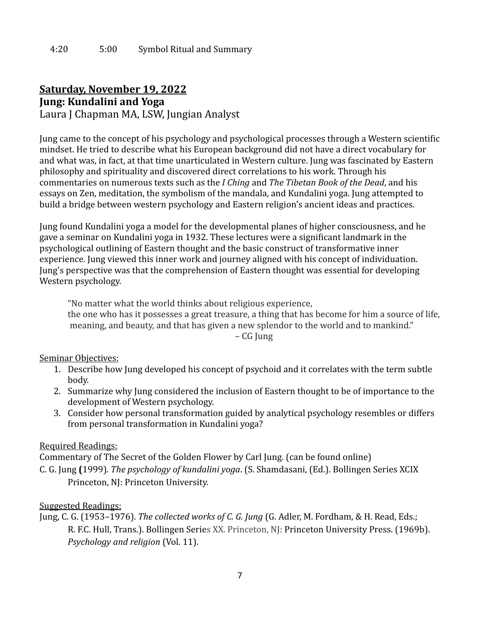## **Saturday, November 19, 2022 Jung: Kundalini and Yoga** Laura J Chapman MA, LSW, Jungian Analyst

Jung came to the concept of his psychology and psychological processes through a Western scientific mindset. He tried to describe what his European background did not have a direct vocabulary for and what was, in fact, at that time unarticulated in Western culture. Jung was fascinated by Eastern philosophy and spirituality and discovered direct correlations to his work. Through his commentaries on numerous texts such as the *I Ching* and *The Tibetan Book of the Dead*, and his essays on Zen, meditation, the symbolism of the mandala, and Kundalini yoga. Jung attempted to build a bridge between western psychology and Eastern religion's ancient ideas and practices.

Jung found Kundalini yoga a model for the developmental planes of higher consciousness, and he gave a seminar on Kundalini yoga in 1932. These lectures were a significant landmark in the psychological outlining of Eastern thought and the basic construct of transformative inner experience. Jung viewed this inner work and journey aligned with his concept of individuation. Jung's perspective was that the comprehension of Eastern thought was essential for developing Western psychology.

"No matter what the world thinks about religious experience, the one who has it possesses a great treasure, a thing that has become for him a source of life, meaning, and beauty, and that has given a new splendor to the world and to mankind." – CG Jung

Seminar Objectives:

- 1. Describe how Jung developed his concept of psychoid and it correlates with the term subtle body.
- 2. Summarize why Jung considered the inclusion of Eastern thought to be of importance to the development of Western psychology.
- 3. Consider how personal transformation guided by analytical psychology resembles or differs from personal transformation in Kundalini yoga?

## **Required Readings:**

Commentary of The Secret of the Golden Flower by Carl Jung. (can be found online)

C. G. Jung **(**1999)*. The psychology of kundalini yoga*. (S. Shamdasani, (Ed.). Bollingen Series XCIX Princeton, NJ: Princeton University.

## Suggested Readings:

Jung, C. G. (1953–1976). *The collected works of C. G. Jung* (G. Adler, M. Fordham, & H. Read, Eds.; R. F.C. Hull, Trans.). Bollingen Series XX. Princeton, NJ: Princeton University Press. (1969b). *Psychology and religion* (Vol. 11).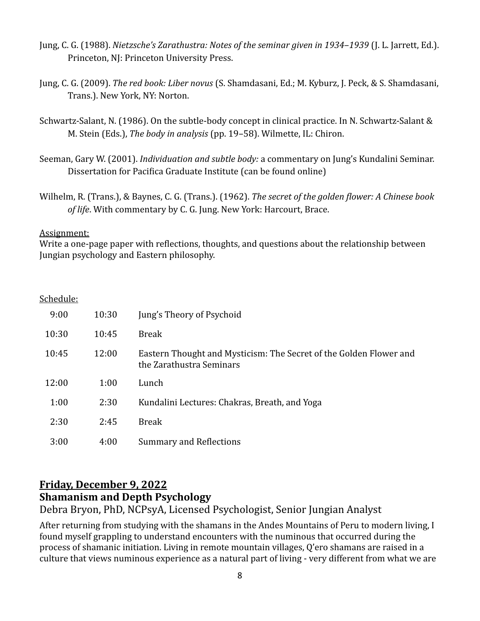- Jung, C. G. (1988). *Nietzsche's Zarathustra: Notes of the seminar given in 1934–1939* (J. L. Jarrett, Ed.). Princeton, NJ: Princeton University Press.
- Jung, C. G. (2009). *The red book: Liber novus* (S. Shamdasani, Ed.; M. Kyburz, J. Peck, & S. Shamdasani, Trans.). New York, NY: Norton.
- Schwartz-Salant, N. (1986). On the subtle-body concept in clinical practice. In N. Schwartz-Salant & M. Stein (Eds.), *The body in analysis* (pp. 19–58). Wilmette, IL: Chiron.
- Seeman, Gary W. (2001). *Individuation and subtle body:* a commentary on Jung's Kundalini Seminar. Dissertation for Pacifica Graduate Institute (can be found online)
- Wilhelm, R. (Trans.), & Baynes, C. G. (Trans.). (1962). *The secret of the golden flower: A Chinese book of life*. With commentary by C. G. Jung. New York: Harcourt, Brace.

## Assignment:

Write a one-page paper with reflections, thoughts, and questions about the relationship between Jungian psychology and Eastern philosophy.

## Schedule:

| 9:00  | 10:30 | Jung's Theory of Psychoid                                                                      |
|-------|-------|------------------------------------------------------------------------------------------------|
| 10:30 | 10:45 | <b>Break</b>                                                                                   |
| 10:45 | 12:00 | Eastern Thought and Mysticism: The Secret of the Golden Flower and<br>the Zarathustra Seminars |
| 12:00 | 1:00  | Lunch                                                                                          |
| 1:00  | 2:30  | Kundalini Lectures: Chakras, Breath, and Yoga                                                  |
| 2:30  | 2:45  | <b>Break</b>                                                                                   |
| 3:00  | 4:00  | <b>Summary and Reflections</b>                                                                 |

## **Friday, December 9, 2022 Shamanism and Depth Psychology**

Debra Bryon, PhD, NCPsyA, Licensed Psychologist, Senior Jungian Analyst

After returning from studying with the shamans in the Andes Mountains of Peru to modern living, I found myself grappling to understand encounters with the numinous that occurred during the process of shamanic initiation. Living in remote mountain villages, Q'ero shamans are raised in a culture that views numinous experience as a natural part of living - very different from what we are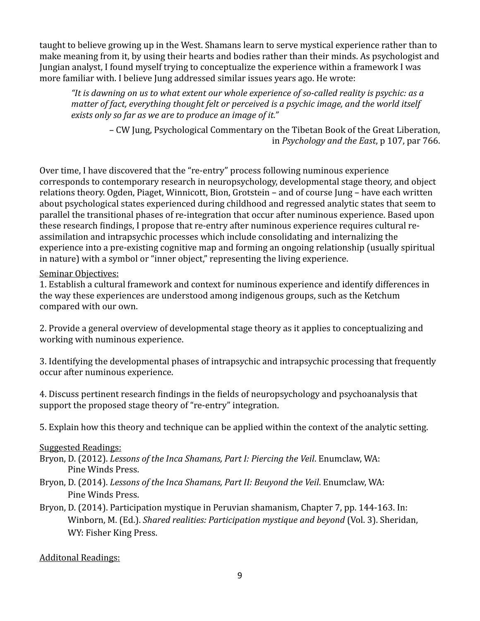taught to believe growing up in the West. Shamans learn to serve mystical experience rather than to make meaning from it, by using their hearts and bodies rather than their minds. As psychologist and Jungian analyst, I found myself trying to conceptualize the experience within a framework I was more familiar with. I believe Jung addressed similar issues vears ago. He wrote:

"It is dawning on us to what extent our whole experience of so-called reality is psychic: as a *matter of fact, everything thought felt or perceived is a psychic image, and the world itself* exists only so far as we are to produce an image of it."

*–* CW Jung, Psychological Commentary on the Tibetan Book of the Great Liberation, in *Psychology and the East*, p 107, par 766.

Over time, I have discovered that the "re-entry" process following numinous experience corresponds to contemporary research in neuropsychology, developmental stage theory, and object relations theory. Ogden, Piaget, Winnicott, Bion, Grotstein – and of course Jung – have each written about psychological states experienced during childhood and regressed analytic states that seem to parallel the transitional phases of re-integration that occur after numinous experience. Based upon these research findings, I propose that re-entry after numinous experience requires cultural reassimilation and intrapsychic processes which include consolidating and internalizing the experience into a pre-existing cognitive map and forming an ongoing relationship (usually spiritual in nature) with a symbol or "inner object," representing the living experience.

## Seminar Objectives:

1. Establish a cultural framework and context for numinous experience and identify differences in the way these experiences are understood among indigenous groups, such as the Ketchum compared with our own.

2. Provide a general overview of developmental stage theory as it applies to conceptualizing and working with numinous experience.

3. Identifying the developmental phases of intrapsychic and intrapsychic processing that frequently occur after numinous experience.

4. Discuss pertinent research findings in the fields of neuropsychology and psychoanalysis that support the proposed stage theory of "re-entry" integration.

5. Explain how this theory and technique can be applied within the context of the analytic setting.

## Suggested Readings:

- Bryon, D. (2012). *Lessons of the Inca Shamans, Part I: Piercing the Veil.* Enumclaw, WA: Pine Winds Press.
- Bryon, D. (2014). *Lessons of the Inca Shamans, Part II: Beuyond the Veil.* Enumclaw, WA: Pine Winds Press.
- Bryon, D. (2014). Participation mystique in Peruvian shamanism, Chapter 7, pp. 144-163. In: Winborn, M. (Ed.). *Shared realities: Participation mystique and beyond* (Vol. 3). Sheridan, WY: Fisher King Press.

## Additonal Readings: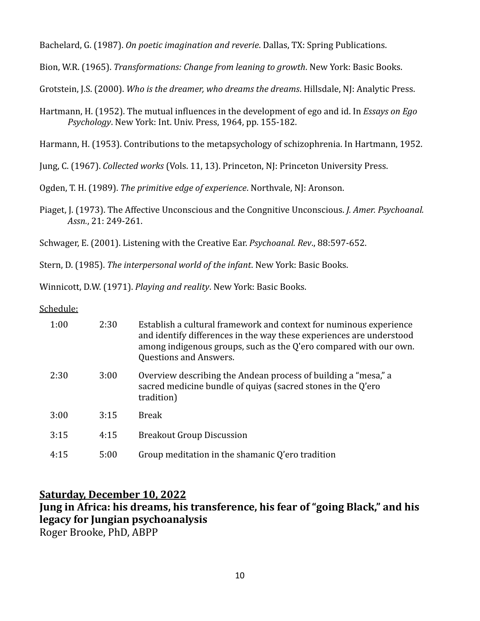Bachelard, G. (1987). *On poetic imagination and reverie*. Dallas, TX: Spring Publications.

Bion, W.R. (1965). *Transformations: Change from leaning to growth*. New York: Basic Books.

Grotstein, J.S. (2000). *Who is the dreamer, who dreams the dreams*. Hillsdale, NJ: Analytic Press.

Hartmann, H. (1952). The mutual influences in the development of ego and id. In *Essays on Ego Psychology*. New York: Int. Univ. Press, 1964, pp. 155-182.

Harmann, H. (1953). Contributions to the metapsychology of schizophrenia. In Hartmann, 1952.

Jung, C. (1967). *Collected works* (Vols. 11, 13). Princeton, NJ: Princeton University Press.

Ogden, T. H. (1989). *The primitive edge of experience*. Northvale, NJ: Aronson.

Piaget, J. (1973). The Affective Unconscious and the Congnitive Unconscious. *J. Amer. Psychoanal.* Assn., 21: 249-261.

Schwager, E. (2001). Listening with the Creative Ear. *Psychoanal. Rev.*, 88:597-652.

Stern, D. (1985). *The interpersonal world of the infant*. New York: Basic Books.

Winnicott, D.W. (1971). *Playing and reality*. New York: Basic Books.

Schedule:

| 1:00 | 2:30 | Establish a cultural framework and context for numinous experience<br>and identify differences in the way these experiences are understood<br>among indigenous groups, such as the $Q'$ ero compared with our own.<br><b>Questions and Answers.</b> |
|------|------|-----------------------------------------------------------------------------------------------------------------------------------------------------------------------------------------------------------------------------------------------------|
| 2:30 | 3:00 | Overview describing the Andean process of building a "mesa," a<br>sacred medicine bundle of quiyas (sacred stones in the Q'ero<br>tradition)                                                                                                        |
| 3:00 | 3:15 | Break                                                                                                                                                                                                                                               |
| 3:15 | 4:15 | <b>Breakout Group Discussion</b>                                                                                                                                                                                                                    |
| 4:15 | 5:00 | Group meditation in the shamanic Q'ero tradition                                                                                                                                                                                                    |

## **Saturday, December 10, 2022**

**Jung in Africa: his dreams, his transference, his fear of "going Black," and his legacy for Jungian psychoanalysis** Roger Brooke, PhD, ABPP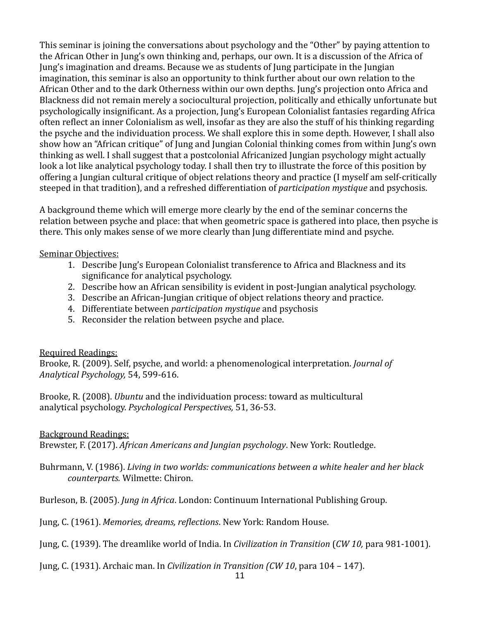This seminar is joining the conversations about psychology and the "Other" by paying attention to the African Other in Jung's own thinking and, perhaps, our own. It is a discussion of the Africa of Jung's imagination and dreams. Because we as students of Jung participate in the Jungian imagination, this seminar is also an opportunity to think further about our own relation to the African Other and to the dark Otherness within our own depths. Jung's projection onto Africa and Blackness did not remain merely a sociocultural projection, politically and ethically unfortunate but psychologically insignificant. As a projection, Jung's European Colonialist fantasies regarding Africa often reflect an inner Colonialism as well, insofar as they are also the stuff of his thinking regarding the psyche and the individuation process. We shall explore this in some depth. However, I shall also show how an "African critique" of Jung and Jungian Colonial thinking comes from within Jung's own thinking as well. I shall suggest that a postcolonial Africanized Jungian psychology might actually look a lot like analytical psychology today. I shall then try to illustrate the force of this position by offering a Jungian cultural critique of object relations theory and practice (I myself am self-critically steeped in that tradition), and a refreshed differentiation of *participation mystique* and psychosis.

A background theme which will emerge more clearly by the end of the seminar concerns the relation between psyche and place: that when geometric space is gathered into place, then psyche is there. This only makes sense of we more clearly than Jung differentiate mind and psyche.

## Seminar Objectives:

- 1. Describe Jung's European Colonialist transference to Africa and Blackness and its significance for analytical psychology.
- 2. Describe how an African sensibility is evident in post-Jungian analytical psychology.
- 3. Describe an African-Jungian critique of object relations theory and practice.
- 4. Differentiate between *participation mystique* and psychosis
- 5. Reconsider the relation between psyche and place.

## Required Readings:

Brooke, R. (2009). Self, psyche, and world: a phenomenological interpretation. *Journal of Analytical Psychology,* 54, 599-616. 

Brooke, R. (2008). *Ubuntu* and the individuation process: toward as multicultural analytical psychology. *Psychological Perspectives,* 51, 36-53.

## **Background Readings:**

Brewster, F. (2017). *African Americans and Jungian psychology*. New York: Routledge.

Buhrmann, V. (1986). *Living in two worlds: communications between a white healer and her black counterparts.* Wilmette: Chiron.

Burleson, B. (2005). *Jung in Africa*. London: Continuum International Publishing Group.

Jung, C. (1961). *Memories, dreams, reflections*. New York: Random House.

Jung, C. (1939). The dreamlike world of India. In *Civilization in Transition* (*CW 10*, para 981-1001).

Jung, C. (1931). Archaic man. In *Civilization in Transition (CW 10*, para 104 – 147).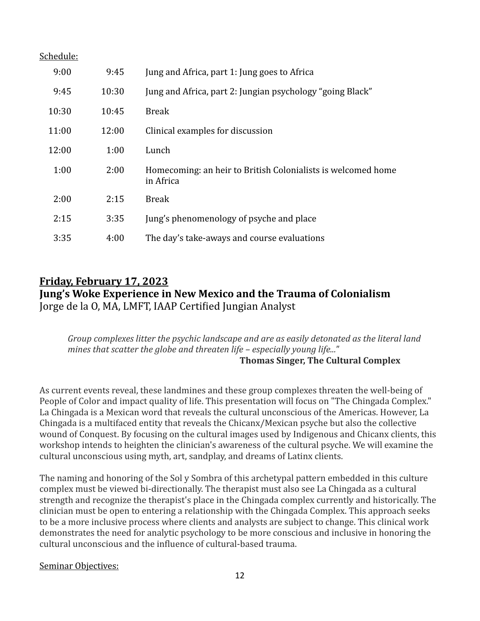| Schedule: |  |
|-----------|--|
|           |  |

| 9:00  | 9:45  | Jung and Africa, part 1: Jung goes to Africa                              |
|-------|-------|---------------------------------------------------------------------------|
| 9:45  | 10:30 | Jung and Africa, part 2: Jungian psychology "going Black"                 |
| 10:30 | 10:45 | <b>Break</b>                                                              |
| 11:00 | 12:00 | Clinical examples for discussion                                          |
| 12:00 | 1:00  | Lunch                                                                     |
| 1:00  | 2:00  | Homecoming: an heir to British Colonialists is welcomed home<br>in Africa |
| 2:00  | 2:15  | <b>Break</b>                                                              |
| 2:15  | 3:35  | Jung's phenomenology of psyche and place                                  |
| 3:35  | 4:00  | The day's take-aways and course evaluations                               |

## **Friday, February 17, 2023 Jung's Woke Experience in New Mexico and the Trauma of Colonialism** Jorge de la O, MA, LMFT, IAAP Certified Jungian Analyst

*Group* complexes litter the psychic landscape and are as easily detonated as the literal land mines that scatter the globe and threaten life – especially young life..." Thomas Singer, The Cultural Complex

As current events reveal, these landmines and these group complexes threaten the well-being of People of Color and impact quality of life. This presentation will focus on "The Chingada Complex." La Chingada is a Mexican word that reveals the cultural unconscious of the Americas. However, La Chingada is a multifaced entity that reveals the Chicanx/Mexican psyche but also the collective wound of Conquest. By focusing on the cultural images used by Indigenous and Chicanx clients, this workshop intends to heighten the clinician's awareness of the cultural psyche. We will examine the cultural unconscious using myth, art, sandplay, and dreams of Latinx clients.

The naming and honoring of the Sol y Sombra of this archetypal pattern embedded in this culture complex must be viewed bi-directionally. The therapist must also see La Chingada as a cultural strength and recognize the therapist's place in the Chingada complex currently and historically. The clinician must be open to entering a relationship with the Chingada Complex. This approach seeks to be a more inclusive process where clients and analysts are subject to change. This clinical work demonstrates the need for analytic psychology to be more conscious and inclusive in honoring the cultural unconscious and the influence of cultural-based trauma.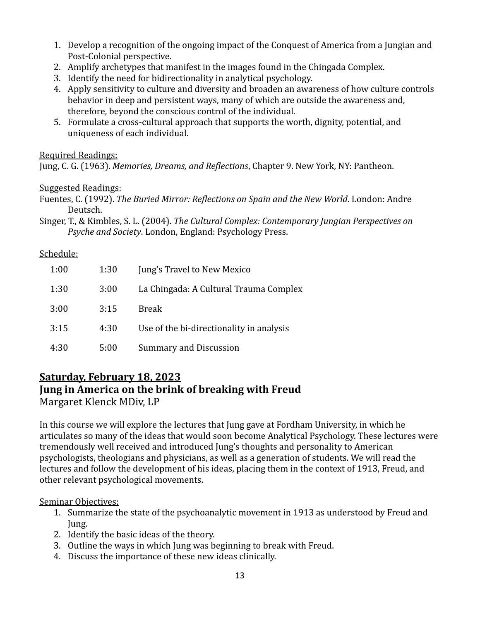- 1. Develop a recognition of the ongoing impact of the Conquest of America from a Jungian and Post-Colonial perspective.
- 2. Amplify archetypes that manifest in the images found in the Chingada Complex.
- 3. Identify the need for bidirectionality in analytical psychology.
- 4. Apply sensitivity to culture and diversity and broaden an awareness of how culture controls behavior in deep and persistent ways, many of which are outside the awareness and, therefore, beyond the conscious control of the individual.
- 5. Formulate a cross-cultural approach that supports the worth, dignity, potential, and uniqueness of each individual.

## Required Readings:

Jung, C. G. (1963). *Memories, Dreams, and Reflections*, Chapter 9. New York, NY: Pantheon.

## Suggested Readings:

Fuentes, C. (1992). *The Buried Mirror: Reflections on Spain and the New World*. London: Andre Deutsch.

Singer, T., & Kimbles, S. L. (2004). *The Cultural Complex: Contemporary Jungian Perspectives on Psyche and Society.* London, England: Psychology Press.

## Schedule:

| 1:00 | 1:30 | Jung's Travel to New Mexico              |
|------|------|------------------------------------------|
| 1:30 | 3:00 | La Chingada: A Cultural Trauma Complex   |
| 3:00 | 3:15 | Break                                    |
| 3:15 | 4:30 | Use of the bi-directionality in analysis |
| 4:30 | 5:00 | Summary and Discussion                   |

# **Saturday, February 18, 2023 Jung in America on the brink of breaking with Freud**

Margaret Klenck MDiv, LP

In this course we will explore the lectures that Jung gave at Fordham University, in which he articulates so many of the ideas that would soon become Analytical Psychology. These lectures were tremendously well received and introduced Jung's thoughts and personality to American psychologists, theologians and physicians, as well as a generation of students. We will read the lectures and follow the development of his ideas, placing them in the context of 1913, Freud, and other relevant psychological movements.

- 1. Summarize the state of the psychoanalytic movement in 1913 as understood by Freud and Jung.
- 2. Identify the basic ideas of the theory.
- 3. Outline the ways in which Jung was beginning to break with Freud.
- 4. Discuss the importance of these new ideas clinically.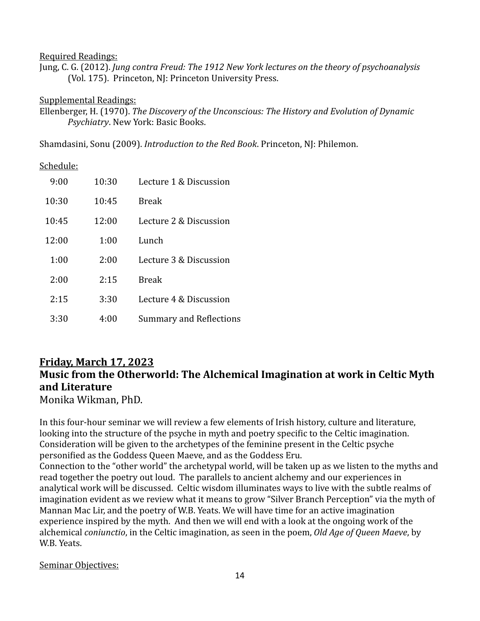#### Required Readings:

Jung, C. G. (2012). *Jung contra Freud: The 1912 New York lectures on the theory of psychoanalysis* (Vol. 175). Princeton, NJ: Princeton University Press.

#### Supplemental Readings:

Ellenberger, H. (1970). *The Discovery of the Unconscious: The History and Evolution of Dynamic Psychiatry*. New York: Basic Books.

Shamdasini, Sonu (2009). *Introduction to the Red Book*. Princeton, NJ: Philemon.

## Schedule:

| 9:00  | 10:30 | Lecture 1 & Discussion         |
|-------|-------|--------------------------------|
| 10:30 | 10:45 | <b>Break</b>                   |
| 10:45 | 12:00 | Lecture 2 & Discussion         |
| 12:00 | 1:00  | Lunch                          |
| 1:00  | 2:00  | Lecture 3 & Discussion         |
| 2:00  | 2:15  | <b>Break</b>                   |
| 2:15  | 3:30  | Lecture 4 & Discussion         |
| 3:30  | 4:00  | <b>Summary and Reflections</b> |

## **Friday, March 17, 2023** Music from the Otherworld: The Alchemical Imagination at work in Celtic Myth **and Literature**

Monika Wikman, PhD.

In this four-hour seminar we will review a few elements of Irish history, culture and literature, looking into the structure of the psyche in myth and poetry specific to the Celtic imagination. Consideration will be given to the archetypes of the feminine present in the Celtic psyche personified as the Goddess Queen Maeve, and as the Goddess Eru.

Connection to the "other world" the archetypal world, will be taken up as we listen to the myths and read together the poetry out loud. The parallels to ancient alchemy and our experiences in analytical work will be discussed. Celtic wisdom illuminates ways to live with the subtle realms of imagination evident as we review what it means to grow "Silver Branch Perception" via the myth of Mannan Mac Lir, and the poetry of W.B. Yeats. We will have time for an active imagination experience inspired by the myth. And then we will end with a look at the ongoing work of the alchemical *coniunctio*, in the Celtic imagination, as seen in the poem, *Old Age of Queen Maeve*, by W.B. Yeats.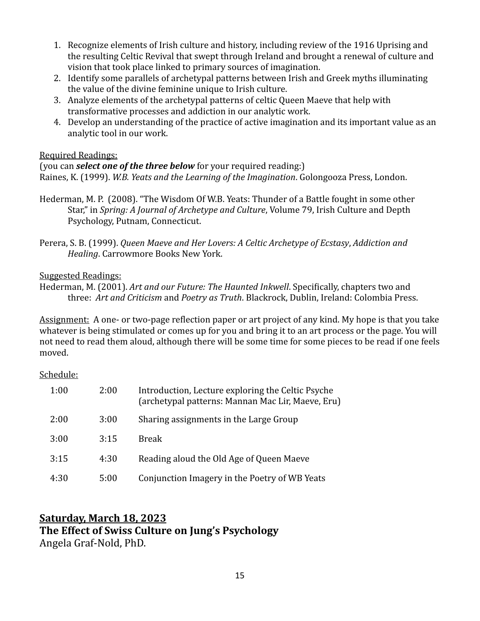- 1. Recognize elements of Irish culture and history, including review of the 1916 Uprising and the resulting Celtic Revival that swept through Ireland and brought a renewal of culture and vision that took place linked to primary sources of imagination.
- 2. Identify some parallels of archetypal patterns between Irish and Greek myths illuminating the value of the divine feminine unique to Irish culture.
- 3. Analyze elements of the archetypal patterns of celtic Queen Maeve that help with transformative processes and addiction in our analytic work.
- 4. Develop an understanding of the practice of active imagination and its important value as an analytic tool in our work.

## Required Readings:

(you can *select one of the three below* for your required reading:) Raines, K. (1999). *W.B. Yeats and the Learning of the Imagination*. Golongooza Press, London.

- Hederman, M. P. (2008). "The Wisdom Of W.B. Yeats: Thunder of a Battle fought in some other Star," in *Spring: A Journal of Archetype and Culture*, Volume 79, Irish Culture and Depth Psychology, Putnam, Connecticut.
- Perera, S. B. (1999). *Queen Maeve and Her Lovers: A Celtic Archetype of Ecstasy, Addiction and Healing*. Carrowmore Books New York.

Suggested Readings:

Hederman, M. (2001). *Art and our Future: The Haunted Inkwell*. Specifically, chapters two and three: Art and Criticism and Poetry as Truth. Blackrock, Dublin, Ireland: Colombia Press.

Assignment: A one- or two-page reflection paper or art project of any kind. My hope is that you take whatever is being stimulated or comes up for you and bring it to an art process or the page. You will not need to read them aloud, although there will be some time for some pieces to be read if one feels moved. 

Schedule:

| 1:00 | 2:00 | Introduction, Lecture exploring the Celtic Psyche<br>(archetypal patterns: Mannan Mac Lir, Maeve, Eru) |
|------|------|--------------------------------------------------------------------------------------------------------|
| 2:00 | 3:00 | Sharing assignments in the Large Group                                                                 |
| 3:00 | 3:15 | <b>Break</b>                                                                                           |
| 3:15 | 4:30 | Reading aloud the Old Age of Queen Maeve                                                               |
| 4:30 | 5:00 | Conjunction Imagery in the Poetry of WB Yeats                                                          |

## **Saturday, March 18, 2023** The Effect of Swiss Culture on Jung's Psychology Angela Graf-Nold, PhD.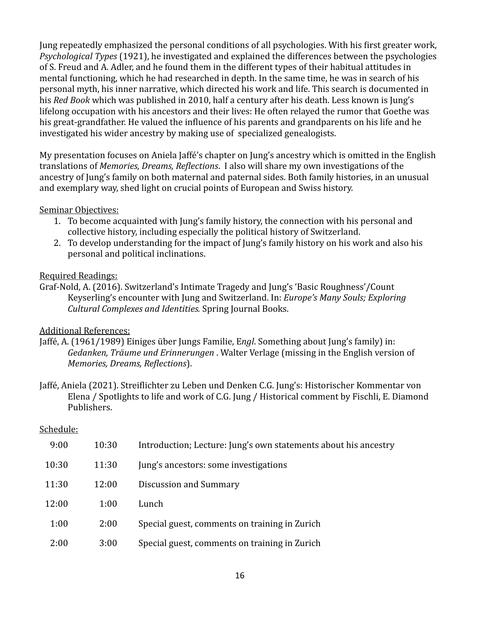Jung repeatedly emphasized the personal conditions of all psychologies. With his first greater work, *Psychological Types* (1921), he investigated and explained the differences between the psychologies of S. Freud and A. Adler, and he found them in the different types of their habitual attitudes in mental functioning, which he had researched in depth. In the same time, he was in search of his personal myth, his inner narrative, which directed his work and life. This search is documented in his *Red Book* which was published in 2010, half a century after his death. Less known is Jung's lifelong occupation with his ancestors and their lives: He often relayed the rumor that Goethe was his great-grandfather. He valued the influence of his parents and grandparents on his life and he investigated his wider ancestry by making use of specialized genealogists.

My presentation focuses on Aniela Jaffé's chapter on Jung's ancestry which is omitted in the English translations of *Memories, Dreams, Reflections*. I also will share my own investigations of the ancestry of Jung's family on both maternal and paternal sides. Both family histories, in an unusual and exemplary way, shed light on crucial points of European and Swiss history.

## Seminar Objectives:

- 1. To become acquainted with Jung's family history, the connection with his personal and collective history, including especially the political history of Switzerland.
- 2. To develop understanding for the impact of Jung's family history on his work and also his personal and political inclinations.

## Required Readings:

Graf-Nold, A. (2016). Switzerland's Intimate Tragedy and Jung's 'Basic Roughness'/Count Keyserling's encounter with Jung and Switzerland. In: *Europe's Many Souls; Exploring Cultural Complexes and Identities.* Spring Journal Books.

## **Additional References:**

- Jaffé, A. (1961/1989) Einiges über Jungs Familie, Engl. Something about Jung's family) in: *Gedanken, Träume und Erinnerungen* . Walter Verlage (missing in the English version of *Memories, Dreams, Reflections*).
- Jaffé, Aniela (2021). Streiflichter zu Leben und Denken C.G. Jung's: Historischer Kommentar von Elena / Spotlights to life and work of C.G. Jung / Historical comment by Fischli, E. Diamond Publishers.

## Schedule:

| 9:00  | 10:30 | Introduction; Lecture: Jung's own statements about his ancestry |
|-------|-------|-----------------------------------------------------------------|
| 10:30 | 11:30 | Jung's ancestors: some investigations                           |
| 11:30 | 12:00 | Discussion and Summary                                          |
| 12:00 | 1:00  | Lunch                                                           |
| 1:00  | 2:00  | Special guest, comments on training in Zurich                   |
| 2:00  | 3:00  | Special guest, comments on training in Zurich                   |
|       |       |                                                                 |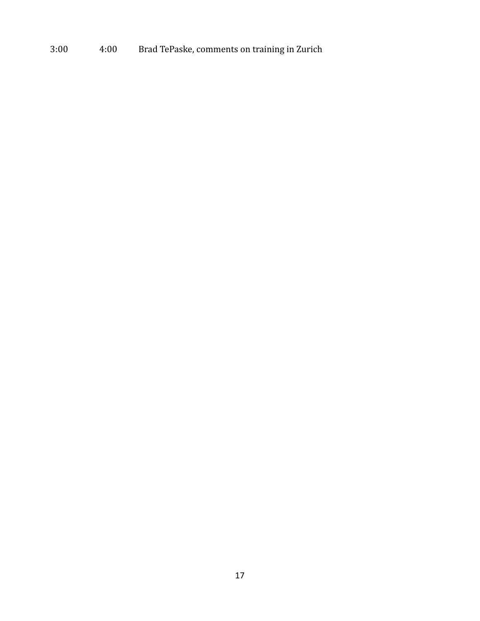## 3:00 4:00 Brad TePaske, comments on training in Zurich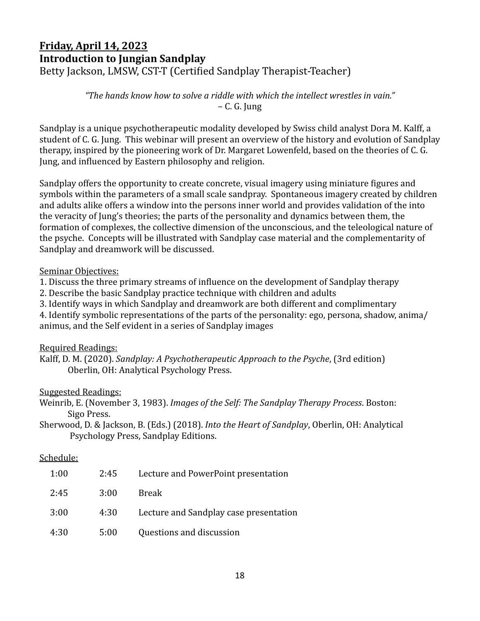## **Friday, April 14, 2023 Introduction to Jungian Sandplay** Betty Jackson, LMSW, CST-T (Certified Sandplay Therapist-Teacher)

"The hands know how to solve a riddle with which the intellect wrestles in vain."  $-$  C. G. Jung

Sandplay is a unique psychotherapeutic modality developed by Swiss child analyst Dora M. Kalff, a student of C. G. Jung. This webinar will present an overview of the history and evolution of Sandplay therapy, inspired by the pioneering work of Dr. Margaret Lowenfeld, based on the theories of C. G. Jung, and influenced by Eastern philosophy and religion.

Sandplay offers the opportunity to create concrete, visual imagery using miniature figures and symbols within the parameters of a small scale sandpray. Spontaneous imagery created by children and adults alike offers a window into the persons inner world and provides validation of the into the veracity of Jung's theories; the parts of the personality and dynamics between them, the formation of complexes, the collective dimension of the unconscious, and the teleological nature of the psyche. Concepts will be illustrated with Sandplay case material and the complementarity of Sandplay and dreamwork will be discussed.

Seminar Objectives:

1. Discuss the three primary streams of influence on the development of Sandplay therapy

2. Describe the basic Sandplay practice technique with children and adults

3. Identify ways in which Sandplay and dreamwork are both different and complimentary

4. Identify symbolic representations of the parts of the personality: ego, persona, shadow, anima/ animus, and the Self evident in a series of Sandplay images

Required Readings:

Kalff, D. M. (2020). *Sandplay: A Psychotherapeutic Approach to the Psyche*, (3rd edition) Oberlin, OH: Analytical Psychology Press.

Suggested Readings:

Weinrib, E. (November 3, 1983). *Images of the Self: The Sandplay Therapy Process*. Boston: Sigo Press.

Sherwood, D. & Jackson, B. (Eds.) (2018). *Into the Heart of Sandplay*, Oberlin, OH: Analytical Psychology Press, Sandplay Editions.

## Schedule:

| 1:00 | 2:45 | Lecture and PowerPoint presentation    |
|------|------|----------------------------------------|
| 2:45 | 3:00 | Break                                  |
| 3:00 | 4:30 | Lecture and Sandplay case presentation |
| 4:30 | 5:00 | Questions and discussion               |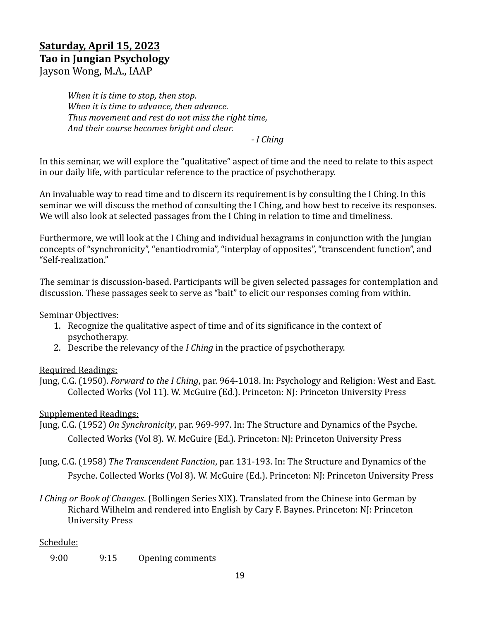## **Saturday, April 15, 2023 Tao in Jungian Psychology** Jayson Wong, M.A., IAAP

*When it is time to stop, then stop. When it is time to advance, then advance.* Thus movement and rest do not miss the right time, And their course becomes bright and clear.

*- I Ching* 

In this seminar, we will explore the "qualitative" aspect of time and the need to relate to this aspect in our daily life, with particular reference to the practice of psychotherapy.

An invaluable way to read time and to discern its requirement is by consulting the I Ching. In this seminar we will discuss the method of consulting the I Ching, and how best to receive its responses. We will also look at selected passages from the I Ching in relation to time and timeliness.

Furthermore, we will look at the I Ching and individual hexagrams in conjunction with the Jungian concepts of "synchronicity", "enantiodromia", "interplay of opposites", "transcendent function", and "Self-realization."

The seminar is discussion-based. Participants will be given selected passages for contemplation and discussion. These passages seek to serve as "bait" to elicit our responses coming from within.

## Seminar Objectives:

- 1. Recognize the qualitative aspect of time and of its significance in the context of psychotherapy.
- 2. Describe the relevancy of the *I Ching* in the practice of psychotherapy.

## Required Readings:

Jung, C.G. (1950). *Forward to the I Ching*, par. 964-1018. In: Psychology and Religion: West and East. Collected Works (Vol 11). W. McGuire (Ed.). Princeton: NJ: Princeton University Press

## Supplemented Readings:

- Jung, C.G. (1952) On Synchronicity, par. 969-997. In: The Structure and Dynamics of the Psyche. Collected Works (Vol 8). W. McGuire (Ed.). Princeton: NJ: Princeton University Press
- Jung, C.G. (1958) *The Transcendent Function*, par. 131-193. In: The Structure and Dynamics of the Psyche. Collected Works (Vol 8). W. McGuire (Ed.). Princeton: NJ: Princeton University Press
- *I* Ching or Book of Changes. (Bollingen Series XIX). Translated from the Chinese into German by Richard Wilhelm and rendered into English by Cary F. Baynes. Princeton: NJ: Princeton University Press

## Schedule:

9:00 9:15 Opening comments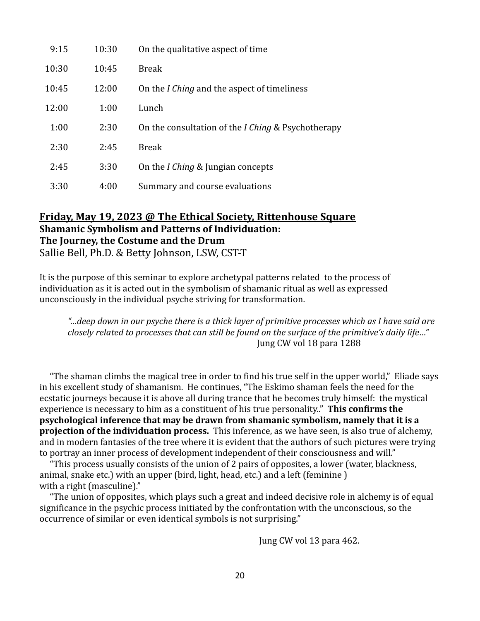| 9:15  | 10:30 | On the qualitative aspect of time                             |
|-------|-------|---------------------------------------------------------------|
| 10:30 | 10:45 | <b>Break</b>                                                  |
| 10:45 | 12:00 | On the <i>I Ching</i> and the aspect of timeliness            |
| 12:00 | 1:00  | Lunch                                                         |
| 1:00  | 2:30  | On the consultation of the <i>I Ching &amp; Psychotherapy</i> |
| 2:30  | 2:45  | <b>Break</b>                                                  |
| 2:45  | 3:30  | On the <i>I Ching</i> & Jungian concepts                      |
| 3:30  | 4:00  | Summary and course evaluations                                |

## **Friday, May 19, 2023 @ The Ethical Society, Rittenhouse Square Shamanic Symbolism and Patterns of Individuation:** The Journey, the Costume and the Drum

Sallie Bell, Ph.D. & Betty Johnson, LSW, CST-T

It is the purpose of this seminar to explore archetypal patterns related to the process of individuation as it is acted out in the symbolism of shamanic ritual as well as expressed unconsciously in the individual psyche striving for transformation.

*"…deep down in our psyche there is a thick layer of primitive processes which as I have said are closely related to processes that can still be found on the surface of the primitive's daily life..."* **Iung CW** vol 18 para 1288

"The shaman climbs the magical tree in order to find his true self in the upper world," Eliade says in his excellent study of shamanism. He continues, "The Eskimo shaman feels the need for the ecstatic journeys because it is above all during trance that he becomes truly himself: the mystical experience is necessary to him as a constituent of his true personality.." **This confirms the psychological inference that may be drawn from shamanic symbolism, namely that it is a projection of the individuation process.** This inference, as we have seen, is also true of alchemy, and in modern fantasies of the tree where it is evident that the authors of such pictures were trying to portray an inner process of development independent of their consciousness and will."

"This process usually consists of the union of 2 pairs of opposites, a lower (water, blackness, animal, snake etc.) with an upper (bird, light, head, etc.) and a left (feminine ) with a right (masculine)."

"The union of opposites, which plays such a great and indeed decisive role in alchemy is of equal significance in the psychic process initiated by the confrontation with the unconscious, so the occurrence of similar or even identical symbols is not surprising."

Jung CW vol 13 para 462.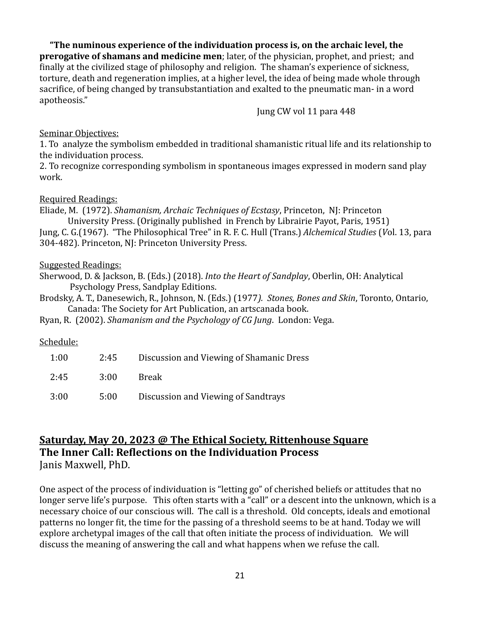**"The numinous experience of the individuation process is, on the archaic level, the prerogative of shamans and medicine men**; later, of the physician, prophet, and priest; and finally at the civilized stage of philosophy and religion. The shaman's experience of sickness, torture, death and regeneration implies, at a higher level, the idea of being made whole through sacrifice, of being changed by transubstantiation and exalted to the pneumatic man- in a word apotheosis."

Jung CW vol 11 para 448

#### Seminar Objectives:

1. To analyze the symbolism embedded in traditional shamanistic ritual life and its relationship to the individuation process.

2. To recognize corresponding symbolism in spontaneous images expressed in modern sand play work.

## Required Readings:

Eliade, M. (1972). *Shamanism, Archaic Techniques of Ecstasy*, Princeton, NJ: Princeton University Press. (Originally published in French by Librairie Payot, Paris, 1951) Jung, C. G.(1967). "The Philosophical Tree" in R. F. C. Hull (Trans.) *Alchemical Studies* (*Vol.* 13, para 304-482). Princeton, NJ: Princeton University Press.

## Suggested Readings:

Sherwood, D. & Jackson, B. (Eds.) (2018). *Into the Heart of Sandplay*, Oberlin, OH: Analytical Psychology Press, Sandplay Editions.

Brodsky, A. T., Danesewich, R., Johnson, N. (Eds.) (1977). Stones, Bones and Skin, Toronto, Ontario, Canada: The Society for Art Publication, an artscanada book.

Ryan, R. (2002). *Shamanism and the Psychology of CG Jung.* London: Vega.

## Schedule:

| 1:00 | 2:45 | Discussion and Viewing of Shamanic Dress |
|------|------|------------------------------------------|
| 2:45 | 3:00 | <b>Break</b>                             |
| 3:00 | 5:00 | Discussion and Viewing of Sandtrays      |

## **Saturday, May 20, 2023 @ The Ethical Society, Rittenhouse Square The Inner Call: Reflections on the Individuation Process** Janis Maxwell, PhD.

One aspect of the process of individuation is "letting go" of cherished beliefs or attitudes that no longer serve life's purpose. This often starts with a "call" or a descent into the unknown, which is a necessary choice of our conscious will. The call is a threshold. Old concepts, ideals and emotional patterns no longer fit, the time for the passing of a threshold seems to be at hand. Today we will explore archetypal images of the call that often initiate the process of individuation. We will discuss the meaning of answering the call and what happens when we refuse the call.